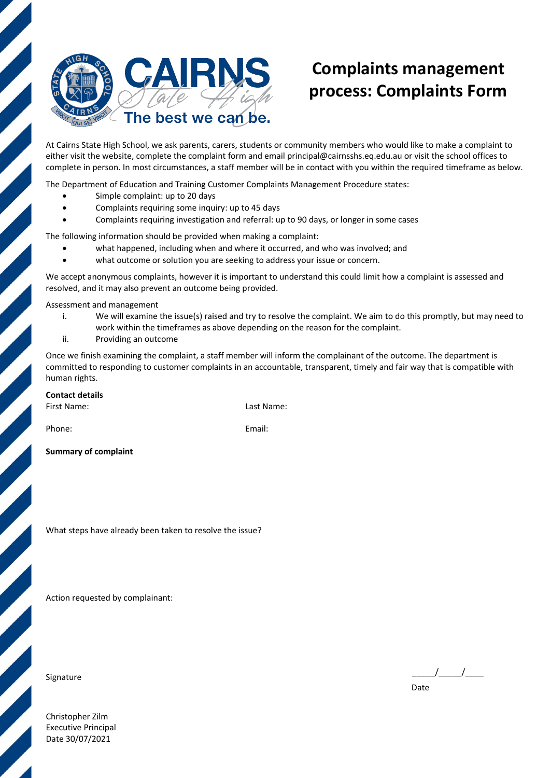

## **Complaints management process: Complaints Form**

At Cairns State High School, we ask parents, carers, students or community members who would like to make a complaint to either visit the website, complete the complaint form and email [principal@cairnsshs.eq.edu.au or](mailto:principal@cairnsshs.eq.edu.au) visit the school offices to complete in person. In most circumstances, a staff member will be in contact with you within the required timeframe as below.

The Department of Education and Training Customer Complaints Management Procedure states:

- Simple complaint: up to 20 days
- Complaints requiring some inquiry: up to 45 days
- Complaints requiring investigation and referral: up to 90 days, or longer in some cases

The following information should be provided when making a complaint:

- what happened, including when and where it occurred, and who was involved; and
- what outcome or solution you are seeking to address your issue or concern.

We accept anonymous complaints, however it is important to understand this could limit how a complaint is assessed and resolved, and it may also prevent an outcome being provided.

Assessment and management

- i. We will examine the issue(s) raised and try to resolve the complaint. We aim to do this promptly, but may need to work within the timeframes as above depending on the reason for the complaint.
- ii. Providing an outcome

Once we finish examining the complaint, a staff member will inform the complainant of the outcome. The department is committed to responding to customer complaints in an accountable, transparent, timely and fair way that is compatible with human rights.

## **Contact details**

First Name: Last Name:

Phone: Email: Email: Email: Email: Email: Email: Email: Email: Email: Email: Email: Email: Email: Email: Email: Email: Email: Email: Email: Email: Email: Email: Email: Email: Email: Email: Email: Email: Email: Email: Email

**Summary of complaint**

What steps have already been taken to resolve the issue?

Action requested by complainant:

Signature  $\begin{array}{ccc} - & - & - \end{array}$ 

Date

Christopher Zilm Executive Principal Date 30/07/2021